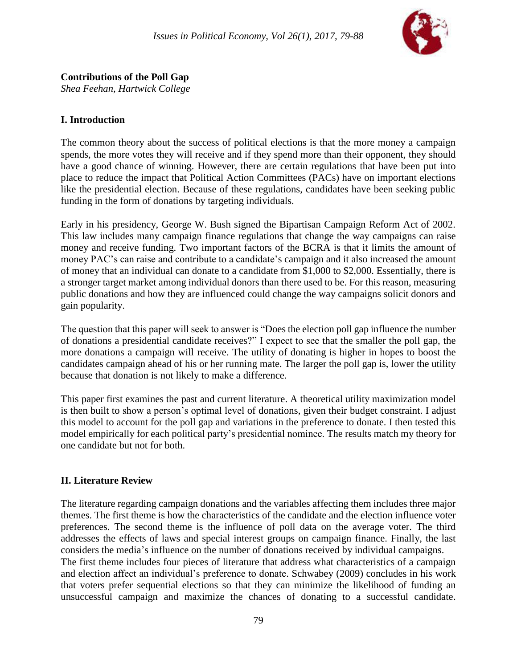

*Shea Feehan, Hartwick College*

## **I. Introduction**

The common theory about the success of political elections is that the more money a campaign spends, the more votes they will receive and if they spend more than their opponent, they should have a good chance of winning. However, there are certain regulations that have been put into place to reduce the impact that Political Action Committees (PACs) have on important elections like the presidential election. Because of these regulations, candidates have been seeking public funding in the form of donations by targeting individuals.

Early in his presidency, George W. Bush signed the Bipartisan Campaign Reform Act of 2002. This law includes many campaign finance regulations that change the way campaigns can raise money and receive funding. Two important factors of the BCRA is that it limits the amount of money PAC's can raise and contribute to a candidate's campaign and it also increased the amount of money that an individual can donate to a candidate from \$1,000 to \$2,000. Essentially, there is a stronger target market among individual donors than there used to be. For this reason, measuring public donations and how they are influenced could change the way campaigns solicit donors and gain popularity.

The question that this paper will seek to answer is "Does the election poll gap influence the number of donations a presidential candidate receives?" I expect to see that the smaller the poll gap, the more donations a campaign will receive. The utility of donating is higher in hopes to boost the candidates campaign ahead of his or her running mate. The larger the poll gap is, lower the utility because that donation is not likely to make a difference.

This paper first examines the past and current literature. A theoretical utility maximization model is then built to show a person's optimal level of donations, given their budget constraint. I adjust this model to account for the poll gap and variations in the preference to donate. I then tested this model empirically for each political party's presidential nominee. The results match my theory for one candidate but not for both.

### **II. Literature Review**

The literature regarding campaign donations and the variables affecting them includes three major themes. The first theme is how the characteristics of the candidate and the election influence voter preferences. The second theme is the influence of poll data on the average voter. The third addresses the effects of laws and special interest groups on campaign finance. Finally, the last considers the media's influence on the number of donations received by individual campaigns. The first theme includes four pieces of literature that address what characteristics of a campaign and election affect an individual's preference to donate. Schwabey (2009) concludes in his work that voters prefer sequential elections so that they can minimize the likelihood of funding an unsuccessful campaign and maximize the chances of donating to a successful candidate.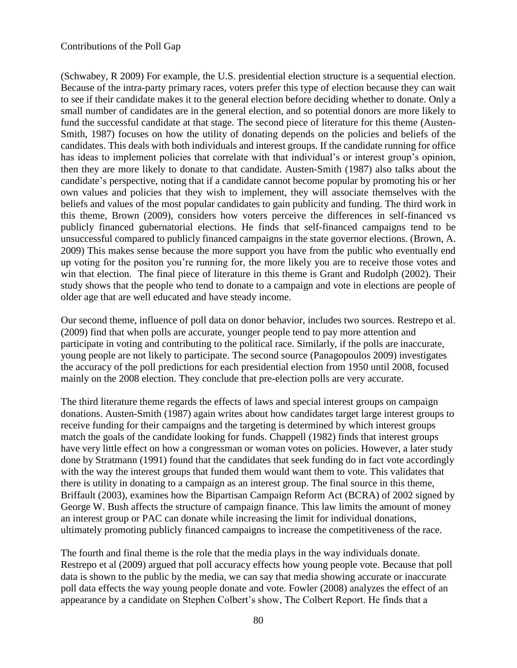(Schwabey, R 2009) For example, the U.S. presidential election structure is a sequential election. Because of the intra-party primary races, voters prefer this type of election because they can wait to see if their candidate makes it to the general election before deciding whether to donate. Only a small number of candidates are in the general election, and so potential donors are more likely to fund the successful candidate at that stage. The second piece of literature for this theme (Austen-Smith, 1987) focuses on how the utility of donating depends on the policies and beliefs of the candidates. This deals with both individuals and interest groups. If the candidate running for office has ideas to implement policies that correlate with that individual's or interest group's opinion, then they are more likely to donate to that candidate. Austen-Smith (1987) also talks about the candidate's perspective, noting that if a candidate cannot become popular by promoting his or her own values and policies that they wish to implement, they will associate themselves with the beliefs and values of the most popular candidates to gain publicity and funding. The third work in this theme, Brown (2009), considers how voters perceive the differences in self-financed vs publicly financed gubernatorial elections. He finds that self-financed campaigns tend to be unsuccessful compared to publicly financed campaigns in the state governor elections. (Brown, A. 2009) This makes sense because the more support you have from the public who eventually end up voting for the positon you're running for, the more likely you are to receive those votes and win that election. The final piece of literature in this theme is Grant and Rudolph (2002). Their study shows that the people who tend to donate to a campaign and vote in elections are people of older age that are well educated and have steady income.

Our second theme, influence of poll data on donor behavior, includes two sources. Restrepo et al. (2009) find that when polls are accurate, younger people tend to pay more attention and participate in voting and contributing to the political race. Similarly, if the polls are inaccurate, young people are not likely to participate. The second source (Panagopoulos 2009) investigates the accuracy of the poll predictions for each presidential election from 1950 until 2008, focused mainly on the 2008 election. They conclude that pre-election polls are very accurate.

The third literature theme regards the effects of laws and special interest groups on campaign donations. Austen-Smith (1987) again writes about how candidates target large interest groups to receive funding for their campaigns and the targeting is determined by which interest groups match the goals of the candidate looking for funds. Chappell (1982) finds that interest groups have very little effect on how a congressman or woman votes on policies. However, a later study done by Stratmann (1991) found that the candidates that seek funding do in fact vote accordingly with the way the interest groups that funded them would want them to vote. This validates that there is utility in donating to a campaign as an interest group. The final source in this theme, Briffault (2003), examines how the Bipartisan Campaign Reform Act (BCRA) of 2002 signed by George W. Bush affects the structure of campaign finance. This law limits the amount of money an interest group or PAC can donate while increasing the limit for individual donations, ultimately promoting publicly financed campaigns to increase the competitiveness of the race.

The fourth and final theme is the role that the media plays in the way individuals donate. Restrepo et al (2009) argued that poll accuracy effects how young people vote. Because that poll data is shown to the public by the media, we can say that media showing accurate or inaccurate poll data effects the way young people donate and vote. Fowler (2008) analyzes the effect of an appearance by a candidate on Stephen Colbert's show, The Colbert Report. He finds that a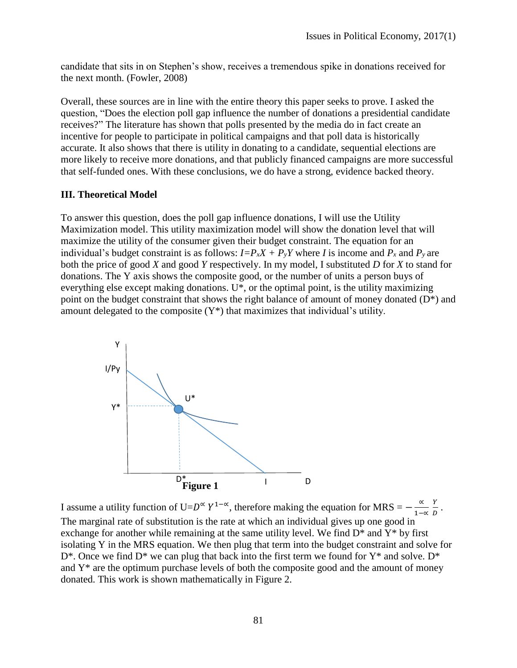candidate that sits in on Stephen's show, receives a tremendous spike in donations received for the next month. (Fowler, 2008)

Overall, these sources are in line with the entire theory this paper seeks to prove. I asked the question, "Does the election poll gap influence the number of donations a presidential candidate receives?" The literature has shown that polls presented by the media do in fact create an incentive for people to participate in political campaigns and that poll data is historically accurate. It also shows that there is utility in donating to a candidate, sequential elections are more likely to receive more donations, and that publicly financed campaigns are more successful that self-funded ones. With these conclusions, we do have a strong, evidence backed theory.

#### **III. Theoretical Model**

To answer this question, does the poll gap influence donations, I will use the Utility Maximization model. This utility maximization model will show the donation level that will maximize the utility of the consumer given their budget constraint. The equation for an individual's budget constraint is as follows:  $I = P_x X + P_y Y$  where *I* is income and  $P_x$  and  $P_y$  are both the price of good *X* and good *Y* respectively. In my model, I substituted *D* for *X* to stand for donations. The Y axis shows the composite good, or the number of units a person buys of everything else except making donations. U\*, or the optimal point, is the utility maximizing point on the budget constraint that shows the right balance of amount of money donated  $(D^*)$  and amount delegated to the composite  $(Y^*)$  that maximizes that individual's utility.



I assume a utility function of U= $D^{\alpha} Y^{1-\alpha}$ , therefore making the equation for MRS =  $-\frac{\alpha}{4}$ 1−∝ Y  $\frac{1}{D}$ . The marginal rate of substitution is the rate at which an individual gives up one good in exchange for another while remaining at the same utility level. We find  $D^*$  and  $Y^*$  by first isolating Y in the MRS equation. We then plug that term into the budget constraint and solve for  $D^*$ . Once we find  $D^*$  we can plug that back into the first term we found for  $Y^*$  and solve.  $D^*$ and  $Y^*$  are the optimum purchase levels of both the composite good and the amount of money donated. This work is shown mathematically in Figure 2.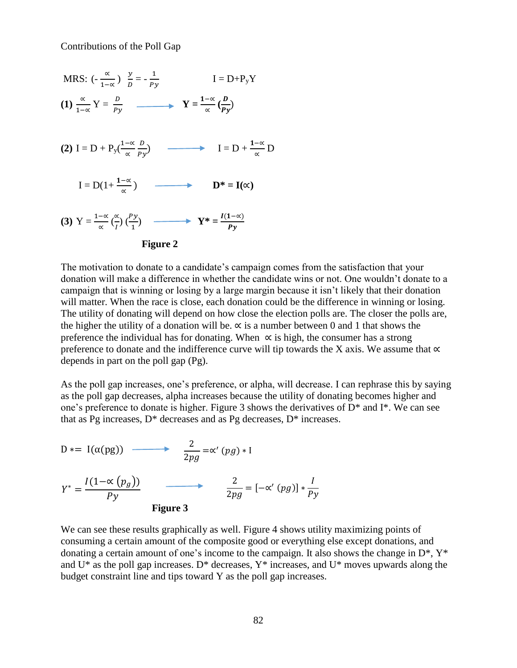

The motivation to donate to a candidate's campaign comes from the satisfaction that your donation will make a difference in whether the candidate wins or not. One wouldn't donate to a campaign that is winning or losing by a large margin because it isn't likely that their donation will matter. When the race is close, each donation could be the difference in winning or losing. The utility of donating will depend on how close the election polls are. The closer the polls are, the higher the utility of a donation will be.  $\alpha$  is a number between 0 and 1 that shows the preference the individual has for donating. When  $\alpha$  is high, the consumer has a strong preference to donate and the indifference curve will tip towards the X axis. We assume that  $\propto$ depends in part on the poll gap (Pg).

As the poll gap increases, one's preference, or alpha, will decrease. I can rephrase this by saying as the poll gap decreases, alpha increases because the utility of donating becomes higher and one's preference to donate is higher. Figure 3 shows the derivatives of D\* and I\*. We can see that as Pg increases,  $D^*$  decreases and as Pg decreases,  $D^*$  increases.

D \* = I(α(pg)) 
$$
\longrightarrow
$$
  $\frac{2}{2pg} = \alpha'(pg) * I$   
\n
$$
Y^* = \frac{I(1-\alpha(p_g))}{Py}
$$
\n
$$
\frac{2}{2pg} = [-\alpha'(pg)] * \frac{I}{Py}
$$
\nFigure 3

We can see these results graphically as well. Figure 4 shows utility maximizing points of consuming a certain amount of the composite good or everything else except donations, and donating a certain amount of one's income to the campaign. It also shows the change in  $D^*$ ,  $Y^*$ and  $U^*$  as the poll gap increases.  $D^*$  decreases,  $Y^*$  increases, and  $U^*$  moves upwards along the budget constraint line and tips toward Y as the poll gap increases.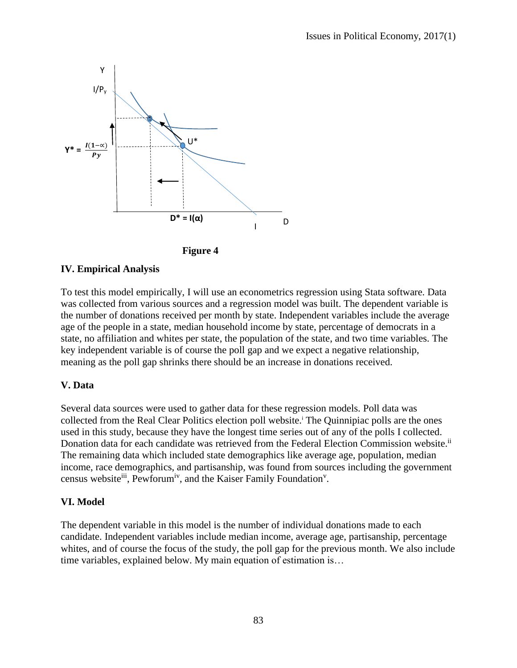



### **IV. Empirical Analysis**

To test this model empirically, I will use an econometrics regression using Stata software. Data was collected from various sources and a regression model was built. The dependent variable is the number of donations received per month by state. Independent variables include the average age of the people in a state, median household income by state, percentage of democrats in a state, no affiliation and whites per state, the population of the state, and two time variables. The key independent variable is of course the poll gap and we expect a negative relationship, meaning as the poll gap shrinks there should be an increase in donations received.

### **V. Data**

Several data sources were used to gather data for these regression models. Poll data was collected from the Real Clear Politics election poll website.<sup>i</sup> The Quinnipiac polls are the ones used in this study, because they have the longest time series out of any of the polls I collected. Donation data for each candidate was retrieved from the Federal Election Commission website.<sup>ii</sup> The remaining data which included state demographics like average age, population, median income, race demographics, and partisanship, was found from sources including the government census website<sup>iii</sup>, Pewforum<sup>iv</sup>, and the Kaiser Family Foundation<sup>v</sup>.

#### **VI. Model**

The dependent variable in this model is the number of individual donations made to each candidate. Independent variables include median income, average age, partisanship, percentage whites, and of course the focus of the study, the poll gap for the previous month. We also include time variables, explained below. My main equation of estimation is…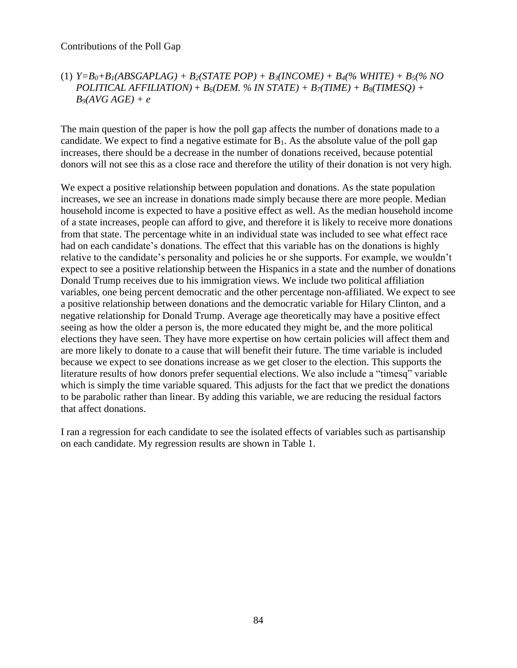### (1) *Y=B0+B1(ABSGAPLAG) + B2(STATE POP) + B3(INCOME) + B4(% WHITE) + B5(% NO POLITICAL AFFILIATION)+ B6(DEM. % IN STATE) + B7(TIME) + B8(TIMESQ) + B9(AVG AGE) + e*

The main question of the paper is how the poll gap affects the number of donations made to a candidate. We expect to find a negative estimate for  $B_1$ . As the absolute value of the poll gap increases, there should be a decrease in the number of donations received, because potential donors will not see this as a close race and therefore the utility of their donation is not very high.

We expect a positive relationship between population and donations. As the state population increases, we see an increase in donations made simply because there are more people. Median household income is expected to have a positive effect as well. As the median household income of a state increases, people can afford to give, and therefore it is likely to receive more donations from that state. The percentage white in an individual state was included to see what effect race had on each candidate's donations. The effect that this variable has on the donations is highly relative to the candidate's personality and policies he or she supports. For example, we wouldn't expect to see a positive relationship between the Hispanics in a state and the number of donations Donald Trump receives due to his immigration views. We include two political affiliation variables, one being percent democratic and the other percentage non-affiliated. We expect to see a positive relationship between donations and the democratic variable for Hilary Clinton, and a negative relationship for Donald Trump. Average age theoretically may have a positive effect seeing as how the older a person is, the more educated they might be, and the more political elections they have seen. They have more expertise on how certain policies will affect them and are more likely to donate to a cause that will benefit their future. The time variable is included because we expect to see donations increase as we get closer to the election. This supports the literature results of how donors prefer sequential elections. We also include a "timesq" variable which is simply the time variable squared. This adjusts for the fact that we predict the donations to be parabolic rather than linear. By adding this variable, we are reducing the residual factors that affect donations.

I ran a regression for each candidate to see the isolated effects of variables such as partisanship on each candidate. My regression results are shown in Table 1.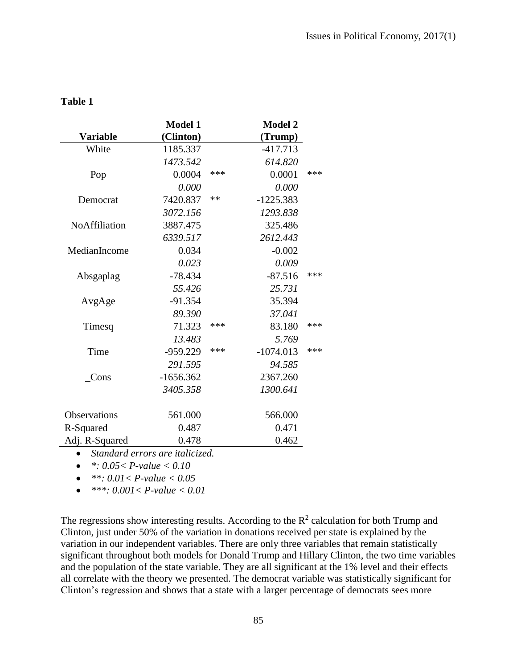|                                  | <b>Model 1</b> |     | <b>Model 2</b> |     |
|----------------------------------|----------------|-----|----------------|-----|
| <b>Variable</b>                  | (Clinton)      |     | (Trump)        |     |
| White                            | 1185.337       |     | $-417.713$     |     |
|                                  | 1473.542       |     | 614.820        |     |
| Pop                              | 0.0004         | *** | 0.0001         | *** |
|                                  | 0.000          |     | 0.000          |     |
| Democrat                         | 7420.837       | **  | $-1225.383$    |     |
|                                  | 3072.156       |     | 1293.838       |     |
| <b>NoAffiliation</b>             | 3887.475       |     | 325.486        |     |
|                                  | 6339.517       |     | 2612.443       |     |
| MedianIncome                     | 0.034          |     | $-0.002$       |     |
|                                  | 0.023          |     | 0.009          |     |
| Absgaplag                        | $-78.434$      |     | $-87.516$      | *** |
|                                  | 55.426         |     | 25.731         |     |
| AvgAge                           | $-91.354$      |     | 35.394         |     |
|                                  | 89.390         |     | 37.041         |     |
| Timesq                           | 71.323         | *** | 83.180         | *** |
|                                  | 13.483         |     | 5.769          |     |
| Time                             | $-959.229$     | *** | $-1074.013$    | *** |
|                                  | 291.595        |     | 94.585         |     |
| Cons                             | $-1656.362$    |     | 2367.260       |     |
|                                  | 3405.358       |     | 1300.641       |     |
|                                  |                |     |                |     |
| <b>Observations</b>              | 561.000        |     | 566.000        |     |
| R-Squared                        | 0.487          |     | 0.471          |     |
| Adj. R-Squared                   | 0.478          |     | 0.462          |     |
| • Standard errors are italicized |                |     |                |     |

#### **Table 1**

*Standard errors are italicized.* 

*\*: 0.05< P-value < 0.10*

 $\bullet \quad$  \*\*: 0.01 < P-value < 0.05

*\*\*\*: 0.001< P-value < 0.01* 

The regressions show interesting results. According to the  $R<sup>2</sup>$  calculation for both Trump and Clinton, just under 50% of the variation in donations received per state is explained by the variation in our independent variables. There are only three variables that remain statistically significant throughout both models for Donald Trump and Hillary Clinton, the two time variables and the population of the state variable. They are all significant at the 1% level and their effects all correlate with the theory we presented. The democrat variable was statistically significant for Clinton's regression and shows that a state with a larger percentage of democrats sees more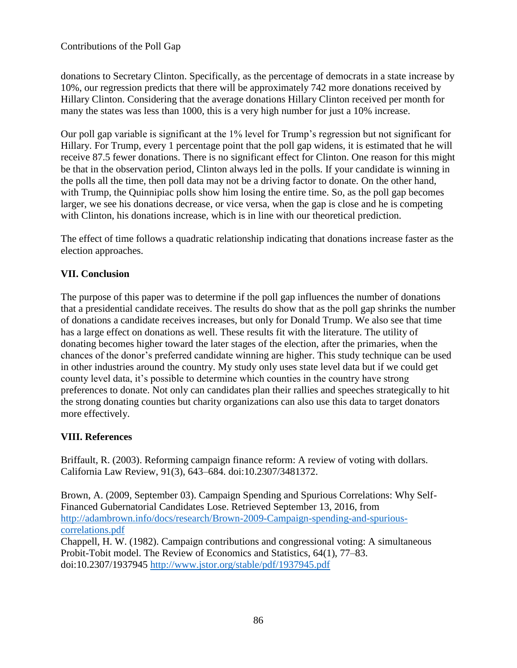donations to Secretary Clinton. Specifically, as the percentage of democrats in a state increase by 10%, our regression predicts that there will be approximately 742 more donations received by Hillary Clinton. Considering that the average donations Hillary Clinton received per month for many the states was less than 1000, this is a very high number for just a 10% increase.

Our poll gap variable is significant at the 1% level for Trump's regression but not significant for Hillary. For Trump, every 1 percentage point that the poll gap widens, it is estimated that he will receive 87.5 fewer donations. There is no significant effect for Clinton. One reason for this might be that in the observation period, Clinton always led in the polls. If your candidate is winning in the polls all the time, then poll data may not be a driving factor to donate. On the other hand, with Trump, the Quinnipiac polls show him losing the entire time. So, as the poll gap becomes larger, we see his donations decrease, or vice versa, when the gap is close and he is competing with Clinton, his donations increase, which is in line with our theoretical prediction.

The effect of time follows a quadratic relationship indicating that donations increase faster as the election approaches.

# **VII. Conclusion**

The purpose of this paper was to determine if the poll gap influences the number of donations that a presidential candidate receives. The results do show that as the poll gap shrinks the number of donations a candidate receives increases, but only for Donald Trump. We also see that time has a large effect on donations as well. These results fit with the literature. The utility of donating becomes higher toward the later stages of the election, after the primaries, when the chances of the donor's preferred candidate winning are higher. This study technique can be used in other industries around the country. My study only uses state level data but if we could get county level data, it's possible to determine which counties in the country have strong preferences to donate. Not only can candidates plan their rallies and speeches strategically to hit the strong donating counties but charity organizations can also use this data to target donators more effectively.

## **VIII. References**

Briffault, R. (2003). Reforming campaign finance reform: A review of voting with dollars. California Law Review, 91(3), 643–684. doi:10.2307/3481372.

Brown, A. (2009, September 03). Campaign Spending and Spurious Correlations: Why Self-Financed Gubernatorial Candidates Lose. Retrieved September 13, 2016, from [http://adambrown.info/docs/research/Brown-2009-Campaign-spending-and-spurious](http://adambrown.info/docs/research/Brown-2009-Campaign-spending-and-spurious-correlations.pdf)[correlations.pdf](http://adambrown.info/docs/research/Brown-2009-Campaign-spending-and-spurious-correlations.pdf)

Chappell, H. W. (1982). Campaign contributions and congressional voting: A simultaneous Probit-Tobit model. The Review of Economics and Statistics, 64(1), 77–83. doi:10.2307/1937945<http://www.jstor.org/stable/pdf/1937945.pdf>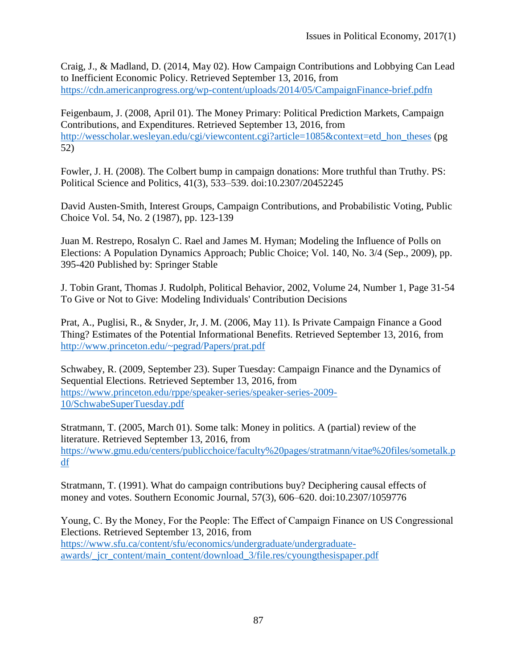Craig, J., & Madland, D. (2014, May 02). How Campaign Contributions and Lobbying Can Lead to Inefficient Economic Policy. Retrieved September 13, 2016, from <https://cdn.americanprogress.org/wp-content/uploads/2014/05/CampaignFinance-brief.pdfn>

Feigenbaum, J. (2008, April 01). The Money Primary: Political Prediction Markets, Campaign Contributions, and Expenditures. Retrieved September 13, 2016, from [http://wesscholar.wesleyan.edu/cgi/viewcontent.cgi?article=1085&context=etd\\_hon\\_theses](http://wesscholar.wesleyan.edu/cgi/viewcontent.cgi?article=1085&context=etd_hon_theses) (pg 52)

Fowler, J. H. (2008). The Colbert bump in campaign donations: More truthful than Truthy. PS: Political Science and Politics, 41(3), 533–539. doi:10.2307/20452245

David Austen-Smith, Interest Groups, Campaign Contributions, and Probabilistic Voting, Public Choice Vol. 54, No. 2 (1987), pp. 123-139

Juan M. Restrepo, Rosalyn C. Rael and James M. Hyman; Modeling the Influence of Polls on Elections: A Population Dynamics Approach; Public Choice; Vol. 140, No. 3/4 (Sep., 2009), pp. 395-420 Published by: Springer Stable

J. Tobin Grant, Thomas J. Rudolph, Political Behavior, 2002, Volume 24, Number 1, Page 31-54 To Give or Not to Give: Modeling Individuals' Contribution Decisions

Prat, A., Puglisi, R., & Snyder, Jr, J. M. (2006, May 11). Is Private Campaign Finance a Good Thing? Estimates of the Potential Informational Benefits. Retrieved September 13, 2016, from <http://www.princeton.edu/~pegrad/Papers/prat.pdf>

Schwabey, R. (2009, September 23). Super Tuesday: Campaign Finance and the Dynamics of Sequential Elections. Retrieved September 13, 2016, from [https://www.princeton.edu/rppe/speaker-series/speaker-series-2009-](https://www.princeton.edu/rppe/speaker-series/speaker-series-2009-10/SchwabeSuperTuesday.pdf) [10/SchwabeSuperTuesday.pdf](https://www.princeton.edu/rppe/speaker-series/speaker-series-2009-10/SchwabeSuperTuesday.pdf)

Stratmann, T. (2005, March 01). Some talk: Money in politics. A (partial) review of the literature. Retrieved September 13, 2016, from [https://www.gmu.edu/centers/publicchoice/faculty%20pages/stratmann/vitae%20files/sometalk.p](https://www.gmu.edu/centers/publicchoice/faculty%20pages/stratmann/vitae%20files/sometalk.pdf) [df](https://www.gmu.edu/centers/publicchoice/faculty%20pages/stratmann/vitae%20files/sometalk.pdf)

Stratmann, T. (1991). What do campaign contributions buy? Deciphering causal effects of money and votes. Southern Economic Journal, 57(3), 606–620. doi:10.2307/1059776

Young, C. By the Money, For the People: The Effect of Campaign Finance on US Congressional Elections. Retrieved September 13, 2016, from [https://www.sfu.ca/content/sfu/economics/undergraduate/undergraduate](https://www.sfu.ca/content/sfu/economics/undergraduate/undergraduate-awards/_jcr_content/main_content/download_3/file.res/cyoungthesispaper.pdf)awards/ jcr\_content/main\_content/download\_3/file.res/cyoungthesispaper.pdf